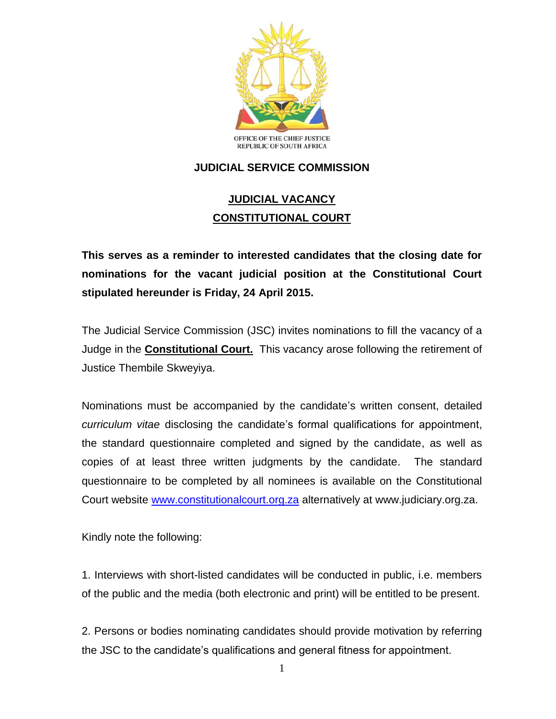

## **JUDICIAL SERVICE COMMISSION**

## **JUDICIAL VACANCY CONSTITUTIONAL COURT**

**This serves as a reminder to interested candidates that the closing date for nominations for the vacant judicial position at the Constitutional Court stipulated hereunder is Friday, 24 April 2015.**

The Judicial Service Commission (JSC) invites nominations to fill the vacancy of a Judge in the **Constitutional Court.** This vacancy arose following the retirement of Justice Thembile Skweyiya.

Nominations must be accompanied by the candidate's written consent, detailed *curriculum vitae* disclosing the candidate's formal qualifications for appointment, the standard questionnaire completed and signed by the candidate, as well as copies of at least three written judgments by the candidate. The standard questionnaire to be completed by all nominees is available on the Constitutional Court website [www.constitutionalcourt.org.za](http://www.constitutionalcourt.org.za/) alternatively at www.judiciary.org.za.

Kindly note the following:

1. Interviews with short-listed candidates will be conducted in public, i.e. members of the public and the media (both electronic and print) will be entitled to be present.

2. Persons or bodies nominating candidates should provide motivation by referring the JSC to the candidate's qualifications and general fitness for appointment.